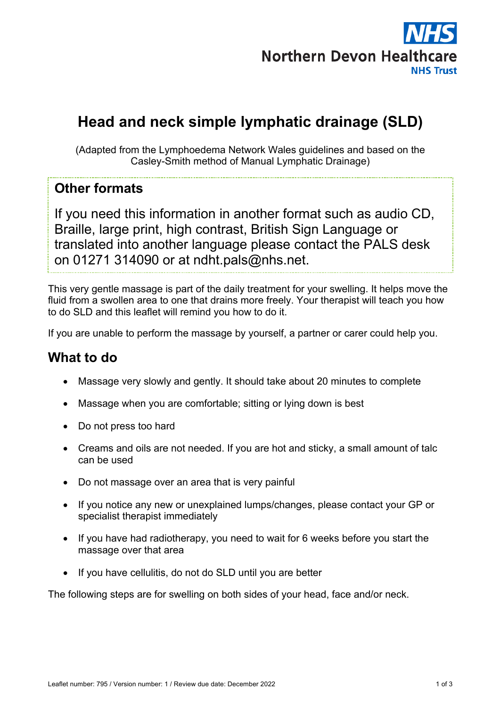

# **Head and neck simple lymphatic drainage (SLD)**

(Adapted from the Lymphoedema Network Wales guidelines and based on the Casley-Smith method of Manual Lymphatic Drainage)

### **Other formats**

If you need this information in another format such as audio CD, Braille, large print, high contrast, British Sign Language or translated into another language please contact the PALS desk on 01271 314090 or at ndht.pals@nhs.net.

This very gentle massage is part of the daily treatment for your swelling. It helps move the fluid from a swollen area to one that drains more freely. Your therapist will teach you how to do SLD and this leaflet will remind you how to do it.

If you are unable to perform the massage by yourself, a partner or carer could help you.

## **What to do**

- Massage very slowly and gently. It should take about 20 minutes to complete
- Massage when you are comfortable; sitting or lying down is best
- Do not press too hard
- Creams and oils are not needed. If you are hot and sticky, a small amount of talc can be used
- Do not massage over an area that is very painful
- If you notice any new or unexplained lumps/changes, please contact your GP or specialist therapist immediately
- If you have had radiotherapy, you need to wait for 6 weeks before you start the massage over that area
- If you have cellulitis, do not do SLD until you are better

The following steps are for swelling on both sides of your head, face and/or neck.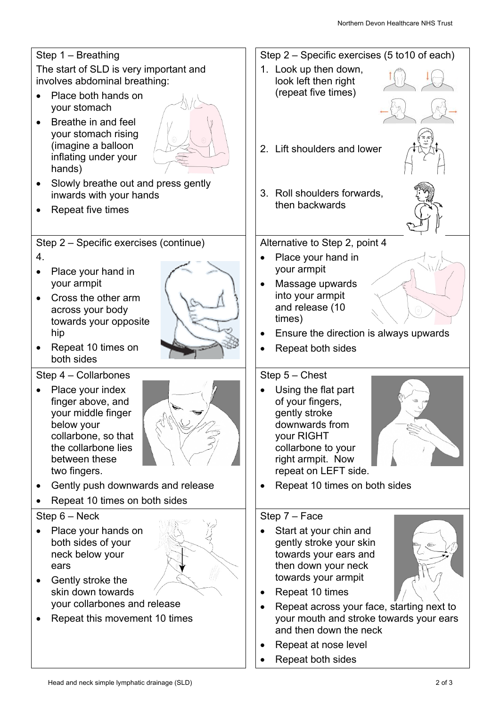